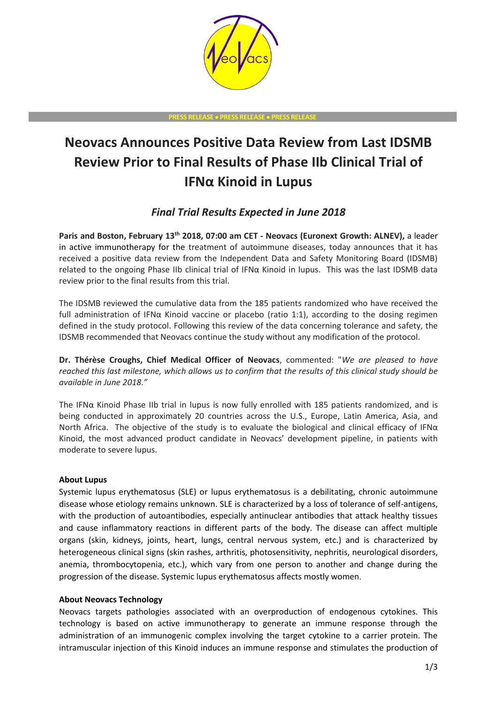

**PRESS RELEASE** • **PRESS RELEASE** • **PRESS RELEASE**

# **Neovacs Announces Positive Data Review from Last IDSMB Review Prior to Final Results of Phase IIb Clinical Trial of IFNα Kinoid in Lupus**

## *Final Trial Results Expected in June 2018*

**Paris and Boston, February 13th 2018, 07:00 am CET - Neovacs (Euronext Growth: ALNEV),** a leader in active immunotherapy for the treatment of autoimmune diseases, today announces that it has received a positive data review from the Independent Data and Safety Monitoring Board (IDSMB) related to the ongoing Phase IIb clinical trial of IFNα Kinoid in lupus. This was the last IDSMB data review prior to the final results from this trial.

The IDSMB reviewed the cumulative data from the 185 patients randomized who have received the full administration of IFNα Kinoid vaccine or placebo (ratio 1:1), according to the dosing regimen defined in the study protocol. Following this review of the data concerning tolerance and safety, the IDSMB recommended that Neovacs continue the study without any modification of the protocol.

**Dr. Thérèse Croughs, Chief Medical Officer of Neovacs**, commented: "*We are pleased to have reached this last milestone, which allows us to confirm that the results of this clinical study should be available in June 2018."*

The IFNα Kinoid Phase IIb trial in lupus is now fully enrolled with 185 patients randomized, and is being conducted in approximately 20 countries across the U.S., Europe, Latin America, Asia, and North Africa. The objective of the study is to evaluate the biological and clinical efficacy of IFN $\alpha$ Kinoid, the most advanced product candidate in Neovacs' development pipeline, in patients with moderate to severe lupus.

### **About Lupus**

Systemic lupus erythematosus (SLE) or lupus erythematosus is a debilitating, chronic autoimmune disease whose etiology remains unknown. SLE is characterized by a loss of tolerance of self-antigens, with the production of autoantibodies, especially antinuclear antibodies that attack healthy tissues and cause inflammatory reactions in different parts of the body. The disease can affect multiple organs (skin, kidneys, joints, heart, lungs, central nervous system, etc.) and is characterized by heterogeneous clinical signs (skin rashes, arthritis, photosensitivity, nephritis, neurological disorders, anemia, thrombocytopenia, etc.), which vary from one person to another and change during the progression of the disease. Systemic lupus erythematosus affects mostly women.

#### **About Neovacs Technology**

Neovacs targets pathologies associated with an overproduction of endogenous cytokines. This technology is based on active immunotherapy to generate an immune response through the administration of an immunogenic complex involving the target cytokine to a carrier protein. The intramuscular injection of this Kinoid induces an immune response and stimulates the production of